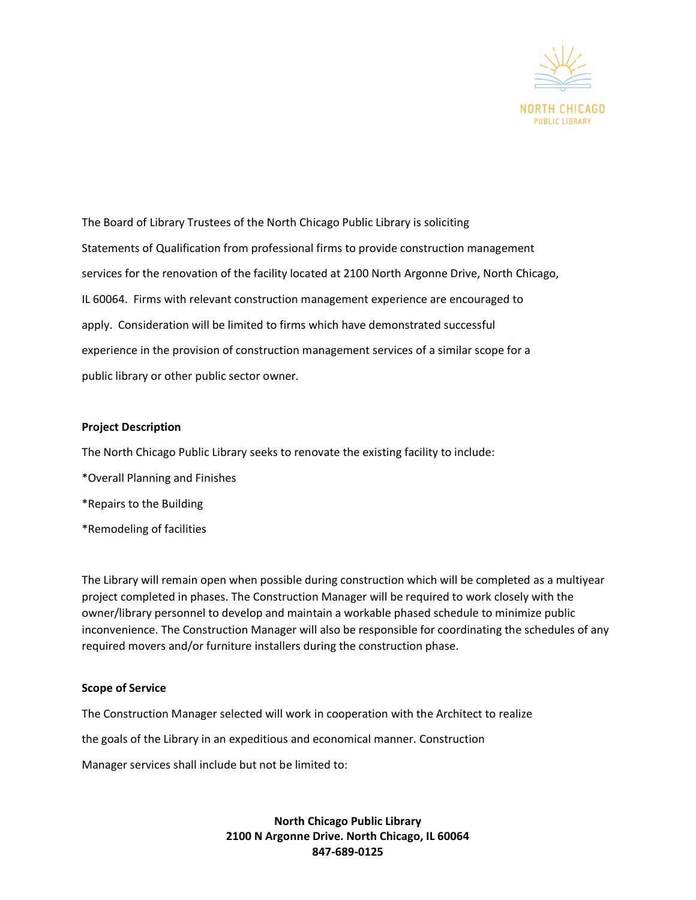

The Board of Library Trustees of the North Chicago Public Library is soliciting Statements of Qualification from professional firms to provide construction management services for the renovation of the facility located at 2100 North Argonne Drive, North Chicago, IL 60064. Firms with relevant construction management experience are encouraged to apply. Consideration will be limited to firms which have demonstrated successful experience in the provision of construction management services of a similar scope for a public library or other public sector owner.

#### **Project Description**

The North Chicago Public Library seeks to renovate the existing facility to include:

- \*Overall Planning and Finishes
- \*Repairs to the Building
- \*Remodeling of facilities

The Library will remain open when possible during construction which will be completed as a multiyear project completed in phases. The Construction Manager will be required to work closely with the owner/library personnel to develop and maintain a workable phased schedule to minimize public inconvenience. The Construction Manager will also be responsible for coordinating the schedules of any required movers and/or furniture installers during the construction phase.

#### **Scope of Service**

The Construction Manager selected will work in cooperation with the Architect to realize

the goals of the Library in an expeditious and economical manner. Construction

Manager services shall include but not be limited to: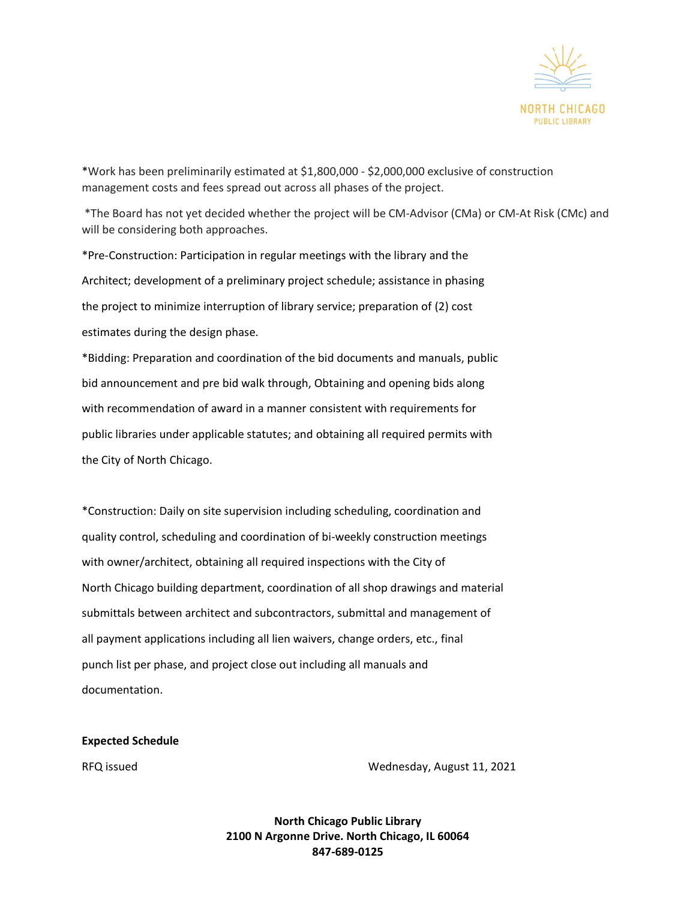

\*Work has been preliminarily estimated at \$1,800,000 - \$2,000,000 exclusive of construction management costs and fees spread out across all phases of the project.

\*The Board has not yet decided whether the project will be CM-Advisor (CMa) or CM-At Risk (CMc) and will be considering both approaches.

\*Pre-Construction: Participation in regular meetings with the library and the Architect; development of a preliminary project schedule; assistance in phasing the project to minimize interruption of library service; preparation of (2) cost estimates during the design phase.

\*Bidding: Preparation and coordination of the bid documents and manuals, public bid announcement and pre bid walk through, Obtaining and opening bids along with recommendation of award in a manner consistent with requirements for public libraries under applicable statutes; and obtaining all required permits with the City of North Chicago.

\*Construction: Daily on site supervision including scheduling, coordination and quality control, scheduling and coordination of bi-weekly construction meetings with owner/architect, obtaining all required inspections with the City of North Chicago building department, coordination of all shop drawings and material submittals between architect and subcontractors, submittal and management of all payment applications including all lien waivers, change orders, etc., final punch list per phase, and project close out including all manuals and documentation.

**Expected Schedule**

RFQ issued Wednesday, August 11, 2021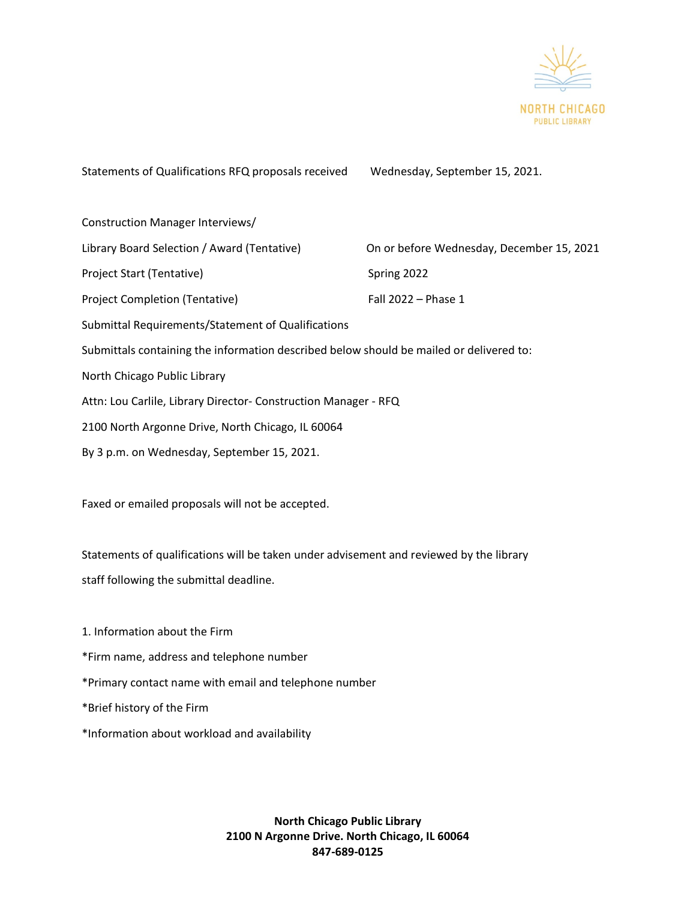

Statements of Qualifications RFQ proposals received Wednesday, September 15, 2021. Construction Manager Interviews/ Library Board Selection / Award (Tentative) On or before Wednesday, December 15, 2021 Project Start (Tentative) Spring 2022 Project Completion (Tentative) Fall 2022 – Phase 1 Submittal Requirements/Statement of Qualifications Submittals containing the information described below should be mailed or delivered to: North Chicago Public Library Attn: Lou Carlile, Library Director- Construction Manager - RFQ 2100 North Argonne Drive, North Chicago, IL 60064 By 3 p.m. on Wednesday, September 15, 2021. Faxed or emailed proposals will not be accepted. Statements of qualifications will be taken under advisement and reviewed by the library staff following the submittal deadline. 1. Information about the Firm \*Firm name, address and telephone number \*Primary contact name with email and telephone number \*Brief history of the Firm \*Information about workload and availability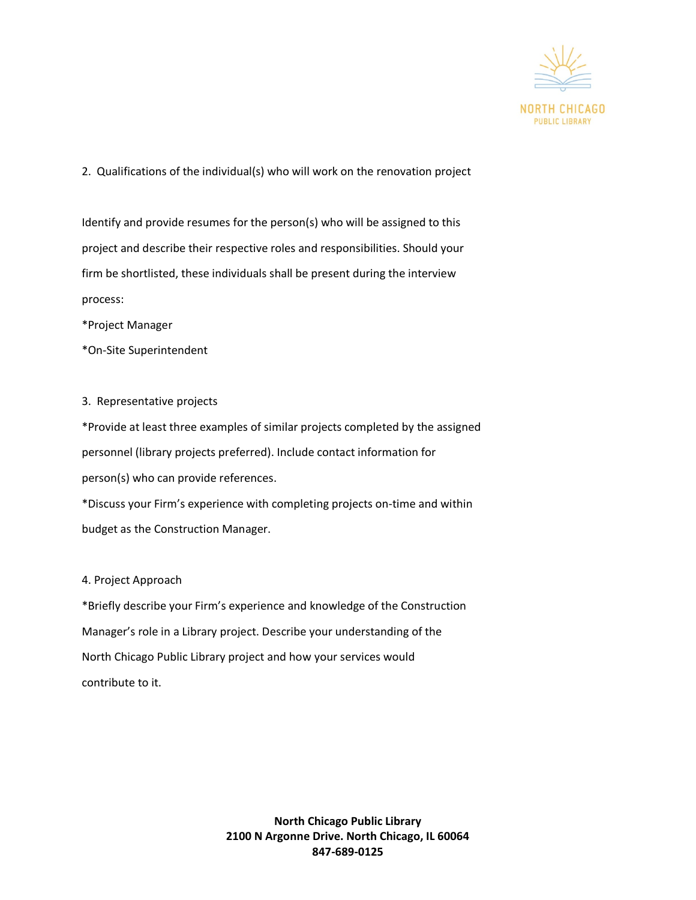

# 2. Qualifications of the individual(s) who will work on the renovation project

Identify and provide resumes for the person(s) who will be assigned to this project and describe their respective roles and responsibilities. Should your firm be shortlisted, these individuals shall be present during the interview process:

\*Project Manager

\*On-Site Superintendent

## 3. Representative projects

\*Provide at least three examples of similar projects completed by the assigned personnel (library projects preferred). Include contact information for person(s) who can provide references. \*Discuss your Firm's experience with completing projects on-time and within

budget as the Construction Manager.

## 4. Project Approach

\*Briefly describe your Firm's experience and knowledge of the Construction Manager's role in a Library project. Describe your understanding of the North Chicago Public Library project and how your services would contribute to it.